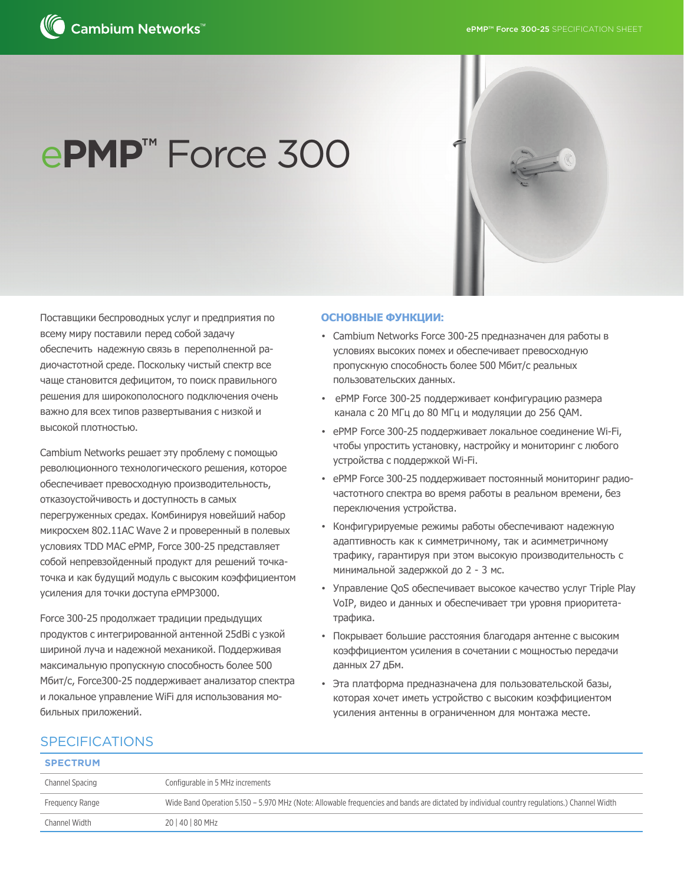

# e**PMP™** Force 300

Поставщики беспроводных услуг и предприятия по всему миру поставили перед собой задачу обеспечить надежную связь в переполненной радиочастотной среде. Поскольку чистый спектр все чаще становится дефицитом, то поиск правильного решения для широкополосного подключения очень важно для всех типов развертывания с низкой и высокой плотностью.

Cambium Networks решает эту проблему с помощью революционного технологического решения, которое обеспечивает превосходную производительность, отказоустойчивость и доступность в самых перегруженных средах. Комбинируя новейший набор микросхем 802.11AC Wave 2 и проверенный в полевых условиях TDD MAC ePMP, Force 300-25 представляет собой непревзойденный продукт для решений точкаточка и как будущий модуль с высоким коэффициентом усиления для точки доступа ePMP3000.

Force 300-25 продолжает традиции предыдущих продуктов с интегрированной антенной 25dBi с узкой шириной луча и надежной механикой. Поддерживая максимальную пропускную способность более 500 Мбит/с, Force300-25 поддерживает анализатор спектра и локальное управление WiFi для использования мобильных приложений.

#### **ОСНОВНЫЕ ФУНКЦИИ**:

- Cambium Networks Force 300-25 предназначен для работы в условиях высоких помех и обеспечивает превосходную пропускную способность более 500 Мбит/с реальных пользовательских данных.
- еPMP Force 300-25 поддерживает конфигурацию размера канала с 20 МГц до 80 МГц и модуляции до 256 QAM.
- еPMP Force 300-25 поддерживает локальное соединение Wi-Fi, чтобы упростить установку, настройку и мониторинг с любого устройства с поддержкой Wi-Fi.
- ePMP Force 300-25 поддерживает постоянный мониторинг радиочастотного спектра во время работы в реальном времени, без переключения устройства.
- Конфигурируемые режимы работы обеспечивают надежную адаптивность как к симметричному, так и асимметричному трафику, гарантируя при этом высокую производительность с минимальной задержкой до 2 - 3 мс.
- Управление QoS обеспечивает высокое качество услуг Triple Play VoIP, видео и данных и обеспечивает три уровня приоритетатрафика.
- Покрывает большие расстояния благодаря антенне с высоким коэффициентом усиления в сочетании с мощностью передачи данных 27 дБм.
- Эта платформа предназначена для пользовательской базы, которая хочет иметь устройство с высоким коэффициентом усиления антенны в ограниченном для монтажа месте.

## SPECIFICATIONS

| Channel Spacing | Configurable in 5 MHz increments                                                                                                            |
|-----------------|---------------------------------------------------------------------------------------------------------------------------------------------|
| Frequency Range | Wide Band Operation 5.150 – 5.970 MHz (Note: Allowable frequencies and bands are dictated by individual country regulations.) Channel Width |
| Channel Width   | 20   40   80 MHz                                                                                                                            |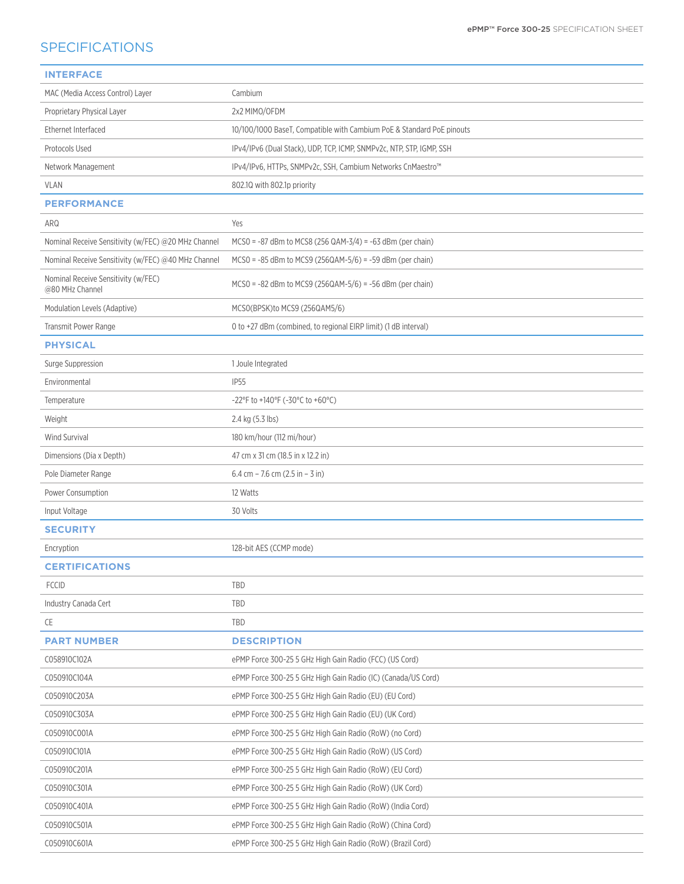# **SPECIFICATIONS**

| <b>INTERFACE</b>                                       |                                                                       |
|--------------------------------------------------------|-----------------------------------------------------------------------|
| MAC (Media Access Control) Layer                       | Cambium                                                               |
| Proprietary Physical Layer                             | 2x2 MIMO/OFDM                                                         |
| Ethernet Interfaced                                    | 10/100/1000 BaseT, Compatible with Cambium PoE & Standard PoE pinouts |
| Protocols Used                                         | IPv4/IPv6 (Dual Stack), UDP, TCP, ICMP, SNMPv2c, NTP, STP, IGMP, SSH  |
| Network Management                                     | IPv4/IPv6, HTTPs, SNMPv2c, SSH, Cambium Networks CnMaestro™           |
| <b>VLAN</b>                                            | 802.10 with 802.1p priority                                           |
| <b>PERFORMANCE</b>                                     |                                                                       |
| ARQ                                                    | Yes                                                                   |
| Nominal Receive Sensitivity (w/FEC) @20 MHz Channel    | $MCSO = -87$ dBm to MCS8 (256 QAM-3/4) = -63 dBm (per chain)          |
| Nominal Receive Sensitivity (w/FEC) @40 MHz Channel    | $MCSO = -85$ dBm to MCS9 (256QAM-5/6) = -59 dBm (per chain)           |
| Nominal Receive Sensitivity (w/FEC)<br>@80 MHz Channel | $MCSO = -82$ dBm to MCS9 (256QAM-5/6) = -56 dBm (per chain)           |
| Modulation Levels (Adaptive)                           | MCSO(BPSK)to MCS9 (256QAM5/6)                                         |
| Transmit Power Range                                   | 0 to +27 dBm (combined, to regional EIRP limit) (1 dB interval)       |
| <b>PHYSICAL</b>                                        |                                                                       |
| Surge Suppression                                      | 1 Joule Integrated                                                    |
| Environmental                                          | <b>IP55</b>                                                           |
| Temperature                                            | $-22^{\circ}$ F to +140°F (-30°C to +60°C)                            |
| Weight                                                 | 2.4 kg (5.3 lbs)                                                      |
| <b>Wind Survival</b>                                   | 180 km/hour (112 mi/hour)                                             |
| Dimensions (Dia x Depth)                               | 47 cm x 31 cm (18.5 in x 12.2 in)                                     |
| Pole Diameter Range                                    | 6.4 cm $-$ 7.6 cm (2.5 in $-$ 3 in)                                   |
| Power Consumption                                      | 12 Watts                                                              |
| Input Voltage                                          | 30 Volts                                                              |
| <b>SECURITY</b>                                        |                                                                       |
| Encryption                                             | 128-bit AES (CCMP mode)                                               |
| <b>CERTIFICATIONS</b>                                  |                                                                       |
| <b>FCCID</b>                                           | TBD                                                                   |
| Industry Canada Cert                                   | TBD                                                                   |
| CE                                                     | TBD                                                                   |
| <b>PART NUMBER</b>                                     | <b>DESCRIPTION</b>                                                    |
| C058910C102A                                           | ePMP Force 300-25 5 GHz High Gain Radio (FCC) (US Cord)               |
| C050910C104A                                           | ePMP Force 300-25 5 GHz High Gain Radio (IC) (Canada/US Cord)         |
| C050910C203A                                           | ePMP Force 300-25 5 GHz High Gain Radio (EU) (EU Cord)                |
| C050910C303A                                           | ePMP Force 300-25 5 GHz High Gain Radio (EU) (UK Cord)                |
| C050910C001A                                           | ePMP Force 300-25 5 GHz High Gain Radio (RoW) (no Cord)               |
| C050910C101A                                           | ePMP Force 300-25 5 GHz High Gain Radio (RoW) (US Cord)               |
| C050910C201A                                           | ePMP Force 300-25 5 GHz High Gain Radio (RoW) (EU Cord)               |
| C050910C301A                                           | ePMP Force 300-25 5 GHz High Gain Radio (RoW) (UK Cord)               |
| C050910C401A                                           | ePMP Force 300-25 5 GHz High Gain Radio (RoW) (India Cord)            |
| C050910C501A                                           | ePMP Force 300-25 5 GHz High Gain Radio (RoW) (China Cord)            |
| C050910C601A                                           | ePMP Force 300-25 5 GHz High Gain Radio (RoW) (Brazil Cord)           |